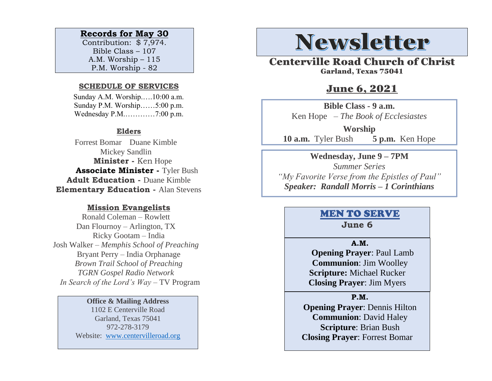# **Records for May 30**

Contribution: \$ 7,974. Bible Class – 107 A.M. Worship – 115 P.M. Worship - 82

#### **SCHEDULE OF SERVICES**

 Sunday A.M. Worship.….10:00 a.m. Sunday P.M. Worship……5:00 p.m. Wednesday P.M.…………7:00 p.m.

## **Elders**

Forrest Bomar Duane Kimble Mickey Sandlin  **Minister -** Ken Hope  **Associate Minister -** Tyler Bush **Adult Education -** Duane Kimble **Elementary Education -** Alan Stevens

## **Mission Evangelists**

Ronald Coleman – Rowlett Dan Flournoy – Arlington, TX Ricky Gootam – India Josh Walker – *Memphis School of Preaching* Bryant Perry – India Orphanage *Brown Trail School of Preaching TGRN Gospel Radio Network In Search of the Lord's Way* – TV Program

#### **Office & Mailing Address**

1102 E Centerville Road Garland, Texas 75041 972-278-3179 Website: [www.centervilleroad.org](https://d.docs.live.net/97e199c461b763eb/Newsletter/News%202020/August%202020/www.centervilleroad.org)

# **Newsletter**

Centerville Road Church of Christ Garland, Texas 75041

# June 6, 2021

**Bible Class - 9 a.m.** Ken Hope *– The Book of Ecclesiastes*

**Worship 10 a.m.** Tyler Bush **5 p.m.** Ken Hope

**Wednesday, June 9 – 7PM** *Summer Series "My Favorite Verse from the Epistles of Paul" Speaker: Randall Morris – 1 Corinthians*

# MEN TO SERVE

**June 6**

#### **A.M.**

 **Opening Prayer**: Paul Lamb **Communion**: Jim Woolley **Scripture:** Michael Rucker **Closing Prayer**: Jim Myers

#### **P.M.**

**Opening Prayer**: Dennis Hilton **Communion**: David Haley **Scripture**: Brian Bush **Closing Prayer**: Forrest Bomar